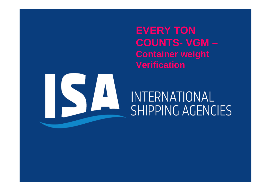**EVERY TONCOUNTS- VGM –Container weight Verification**

# **INTERNATIONAL SHIPPING AGENCIES**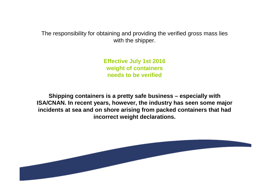The responsibility for obtaining and providing the verified gross mass lies with the shipper.

> **Effective July 1st 2016 weight of containersneeds to be verified**

**Shipping containers is a pretty safe business – especially with ISA/CNAN. In recent years, however, the industry has seen some major incidents at sea and on shore arising from packed containers that had incorrect weight declarations.**

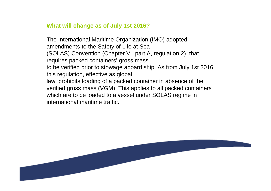### **What will change as of July 1st 2016?**

The International Maritime Organization (IMO) adopted amendments to the Safety of Life at Sea (SOLAS) Convention (Chapter VI, part A, regulation 2), that requires packed containers' gross mass to be verified prior to stowage aboard ship. As from July 1st 2016 this regulation, effective as globallaw, prohibits loading of a packed container in absence of the verified gross mass (VGM). This applies to all packed containerswhich are to be loaded to a vessel under SOLAS regime in international maritime traffic.

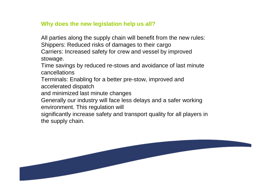# **Why does the new legislation help us all?**

All parties along the supply chain will benefit from the new rules:Shippers: Reduced risks of damages to their cargo Carriers: Increased safety for crew and vessel by improved stowage.

Time savings by reduced re-stows and avoidance of last minute cancellations

 Terminals: Enabling for a better pre-stow, improved and accelerated dispatch

and minimized last minute changes

 Generally our industry will face less delays and a safer workingenvironment. This regulation will

significantly increase safety and transport quality for all players in the supply chain.

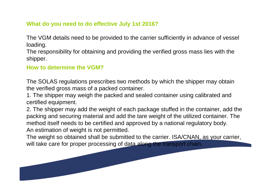# **What do you need to do effective July 1st 2016?**

The VGM details need to be provided to the carrier sufficiently in advance of vessel loading.

The responsibility for obtaining and providing the verified gross mass lies with the shipper.

## **How to determine the VGM?**

The SOLAS regulations prescribes two methods by which the shipper may obtainthe verified gross mass of a packed container.

1. The shipper may weigh the packed and sealed container using calibrated and certified equipment.

2. The shipper may add the weight of each package stuffed in the container, add the packing and securing material and add the tare weight of the utilized container. The method itself needs to be certified and approved by a national regulatory body.An estimation of weight is not permitted.

The weight so obtained shall be submitted to the carrier. ISA/CNAN, as your carrier, will take care for proper processing of data along the transport chain.